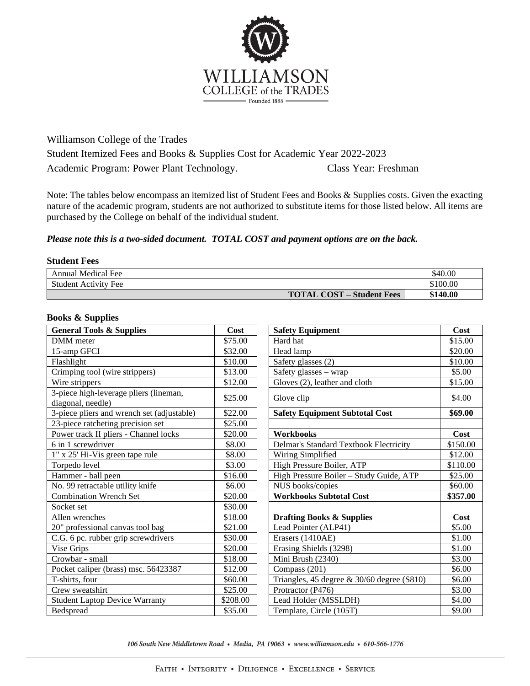

Williamson College of the Trades Student Itemized Fees and Books & Supplies Cost for Academic Year 2022-2023 Academic Program: Power Plant Technology. Class Year: Freshman

Note: The tables below encompass an itemized list of Student Fees and Books & Supplies costs. Given the exacting nature of the academic program, students are not authorized to substitute items for those listed below. All items are purchased by the College on behalf of the individual student.

## *Please note this is a two-sided document. TOTAL COST and payment options are on the back.*

## **Student Fees**

| <b>Annual Medical Fee</b>        | \$40.00  |
|----------------------------------|----------|
| <b>Student Activity Fee</b>      | \$100.00 |
| <b>TOTAL COST – Student Fees</b> | \$140.00 |

## **Books & Supplies**

| <b>General Tools &amp; Supplies</b>                         | Cost     | <b>Safety Equipment</b>                       | Cost     |
|-------------------------------------------------------------|----------|-----------------------------------------------|----------|
| DMM meter                                                   | \$75.00  | Hard hat                                      | \$15.00  |
| 15-amp GFCI                                                 | \$32.00  | Head lamp                                     | \$20.00  |
| Flashlight                                                  | \$10.00  | Safety glasses (2)                            | \$10.00  |
| Crimping tool (wire strippers)                              | \$13.00  | Safety glasses - wrap                         | \$5.00   |
| Wire strippers                                              | \$12.00  | Gloves (2), leather and cloth                 | \$15.00  |
| 3-piece high-leverage pliers (lineman,<br>diagonal, needle) | \$25.00  | Glove clip                                    | \$4.00   |
| 3-piece pliers and wrench set (adjustable)                  | \$22.00  | <b>Safety Equipment Subtotal Cost</b>         | \$69.00  |
| 23-piece ratcheting precision set                           | \$25.00  |                                               |          |
| Power track II pliers - Channel locks                       | \$20.00  | <b>Workbooks</b>                              | Cost     |
| 6 in 1 screwdriver                                          | \$8.00   | Delmar's Standard Textbook Electricity        | \$150.00 |
| 1" x 25' Hi-Vis green tape rule                             | \$8.00   | Wiring Simplified                             | \$12.00  |
| Torpedo level                                               | \$3.00   | High Pressure Boiler, ATP                     | \$110.00 |
| Hammer - ball peen                                          | \$16.00  | High Pressure Boiler - Study Guide, ATP       | \$25.00  |
| No. 99 retractable utility knife                            | \$6.00   | NUS books/copies                              | \$60.00  |
| <b>Combination Wrench Set</b>                               | \$20.00  | <b>Workbooks Subtotal Cost</b>                | \$357.00 |
| Socket set                                                  | \$30.00  |                                               |          |
| Allen wrenches                                              | \$18.00  | <b>Drafting Books &amp; Supplies</b>          | Cost     |
| 20" professional canvas tool bag                            | \$21.00  | Lead Pointer (ALP41)                          | \$5.00   |
| C.G. 6 pc. rubber grip screwdrivers                         | \$30.00  | Erasers (1410AE)                              | \$1.00   |
| Vise Grips                                                  | \$20.00  | Erasing Shields (3298)                        | \$1.00   |
| Crowbar - small                                             | \$18.00  | Mini Brush (2340)                             | \$3.00   |
| Pocket caliper (brass) msc. 56423387                        | \$12.00  | Compass (201)                                 | \$6.00   |
| T-shirts, four                                              | \$60.00  | Triangles, 45 degree $\&$ 30/60 degree (S810) | \$6.00   |
| Crew sweatshirt                                             | \$25.00  | Protractor (P476)                             | \$3.00   |
| <b>Student Laptop Device Warranty</b>                       | \$208.00 | Lead Holder (MSSLDH)                          | \$4.00   |
| Bedspread                                                   | \$35.00  | Template, Circle (105T)                       | \$9.00   |

106 South New Middletown Road • Media, PA 19063 • www.williamson.edu • 610-566-1776